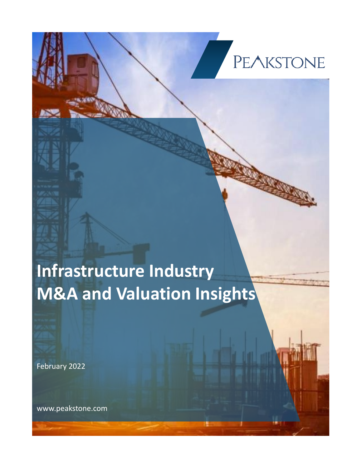## **PEAKSTONE**

## **Infrastructure Industry M&A and Valuation Insights**

February 2022

www.peakstone.com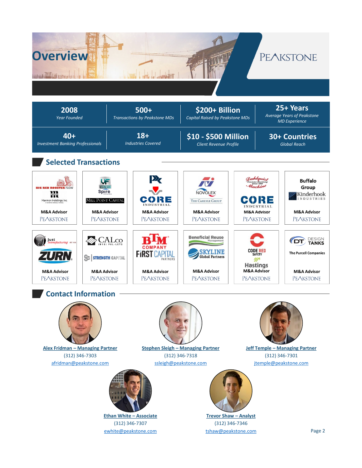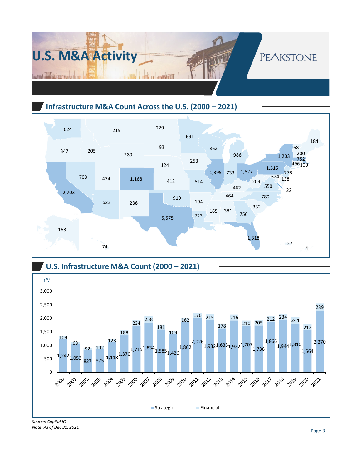

#### **Infrastructure M&A Count Across the U.S. (2000 – 2021)**





*Note: As of Dec 31, 2021*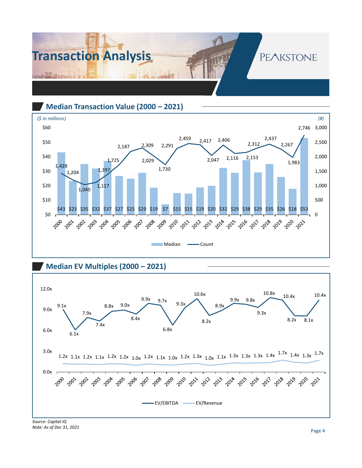

**Median Transaction Value (2000 – 2021)**



**Median EV Multiples (2000 – 2021)** 



*Note: As of Dec 31, 2021*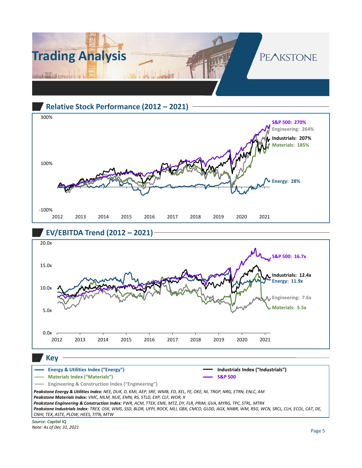

#### **Relative Stock Performance (2012 – 2021)**







*Source: Capital IQ Peakstone Energy & Utilities Index: NEE, DUK, D, KMI, AEP, SRE, WMB, ED, XEL, FE, OKE, NI, TRGP, NRG, ETRN, ENLC, AM Peakstone Materials Index: VMC, MLM, NUE, EMN, RS, STLD, EXP, CLF, WOR, X Peakstone Engineering & Construction Index: PWR, ACM, TTEK, EME, MTZ, DY, FLR, PRIM, GVA, MYRG, TPC, STRL, MTRX Peakstone Industrials Index: TREX, OSK, WMS, SSD, BLDR, UFPI, ROCK, MLI, GBX, CMCO, GLDD, AGX, NNBR, WM, RSG, WCN, SRCL, CLH, ECOL, CAT, DE, CNHI, TEX, ASTE, PLOW, HEES, TITN, MTW* **Energy & Utilities Index ("Energy") Materials Index ("Materials") Engineering & Construction Index ("Engineering") Industrials Index ("Industrials") S&P 500**

*Note: As of Dec 31, 2021*